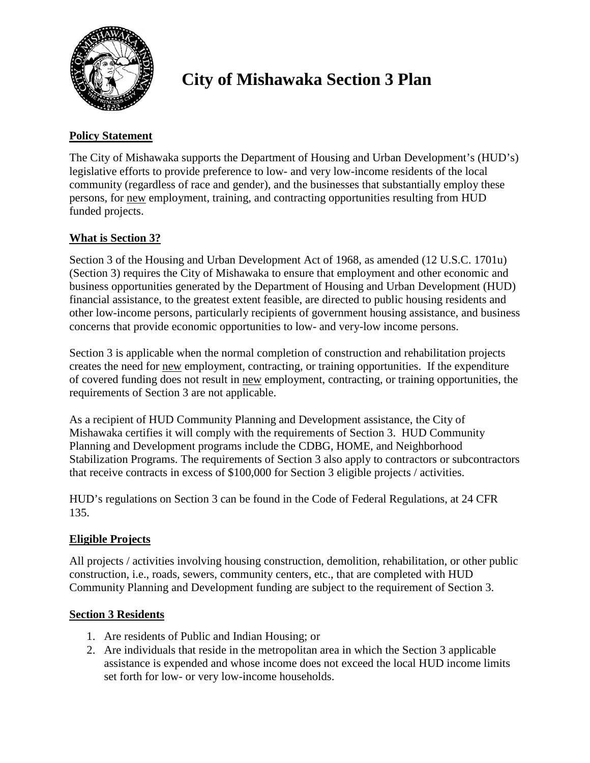

# **City of Mishawaka Section 3 Plan**

### **Policy Statement**

The City of Mishawaka supports the Department of Housing and Urban Development's (HUD's) legislative efforts to provide preference to low- and very low-income residents of the local community (regardless of race and gender), and the businesses that substantially employ these persons, for new employment, training, and contracting opportunities resulting from HUD funded projects.

## **What is Section 3?**

Section 3 of the Housing and Urban Development Act of 1968, as amended (12 U.S.C. 1701u) (Section 3) requires the City of Mishawaka to ensure that employment and other economic and business opportunities generated by the Department of Housing and Urban Development (HUD) financial assistance, to the greatest extent feasible, are directed to public housing residents and other low-income persons, particularly recipients of government housing assistance, and business concerns that provide economic opportunities to low- and very-low income persons.

Section 3 is applicable when the normal completion of construction and rehabilitation projects creates the need for new employment, contracting, or training opportunities. If the expenditure of covered funding does not result in new employment, contracting, or training opportunities, the requirements of Section 3 are not applicable.

As a recipient of HUD Community Planning and Development assistance, the City of Mishawaka certifies it will comply with the requirements of Section 3. HUD Community Planning and Development programs include the CDBG, HOME, and Neighborhood Stabilization Programs. The requirements of Section 3 also apply to contractors or subcontractors that receive contracts in excess of \$100,000 for Section 3 eligible projects / activities.

HUD's regulations on Section 3 can be found in the Code of Federal Regulations, at 24 CFR 135.

#### **Eligible Projects**

All projects / activities involving housing construction, demolition, rehabilitation, or other public construction, i.e., roads, sewers, community centers, etc., that are completed with HUD Community Planning and Development funding are subject to the requirement of Section 3.

#### **Section 3 Residents**

- 1. Are residents of Public and Indian Housing; or
- 2. Are individuals that reside in the metropolitan area in which the Section 3 applicable assistance is expended and whose income does not exceed the local HUD income limits set forth for low- or very low-income households.